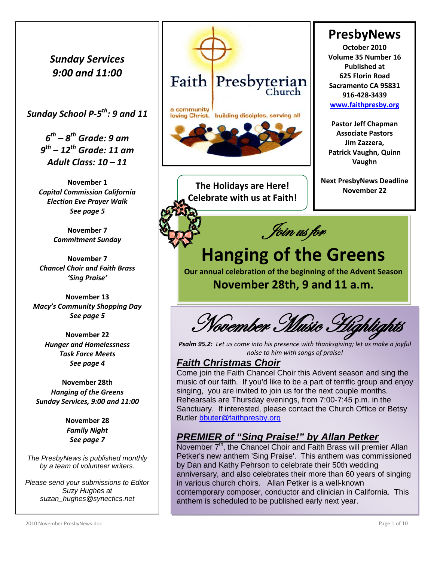*Sunday Services 9:00 and 11:00*

*Sunday School P-5th: 9 and 11* 

*6th – 8th Grade: 9 am 9th – 12th Grade: 11 am Adult Class: 10 – 11*

**November 1** *Capital Commission California Election Eve Prayer Walk See page 5*

> **November 7** *Commitment Sunday*

**November 7** *Chancel Choir and Faith Brass 'Sing Praise'*

**November 13** *Macy's Community Shopping Day See page 5*

> **November 22** *Hunger and Homelessness Task Force Meets See page 4*

**November 28th** *Hanging of the Greens Sunday Services, 9:00 and 11:00*

> **November 28** *Family Night See page 7*

*The PresbyNews is published monthly by a team of volunteer writers.*

*Please send your submissions to Editor Suzy Hughes at suzan\_hughes@synectics.net*



**The Holidays are Here! Celebrate with us at Faith!**



**PresbyNews October 2010 Volume 35 Number 16 Published at 625 Florin Road Sacramento CA 95831 916-428-3439 [www.faithpresby.org](http://www.faithpresby.org/)**

**Pastor Jeff Chapman Associate Pastors Jim Zazzera, Patrick Vaughn, Quinn Vaughn**

**Next PresbyNews Deadline November 22**

# **Hanging of the Greens**

**Our annual celebration of the beginning of the Advent Season**

**November 28th, 9 and 11 a.m.**

November Music

*Psalm 95.2: Let us come into his presence with thanksgiving; let us make a joyful noise to him with songs of praise!*

### *Faith Christmas Choir*

Come join the Faith Chancel Choir this Advent season and sing the music of our faith. If you'd like to be a part of terrific group and enjoy singing, you are invited to join us for the next couple months. Rehearsals are Thursday evenings, from 7:00-7:45 p.m. in the Sanctuary. If interested, please contact the Church Office or Betsy Butler [bbuter@faithpresby.org](mailto:bbuter@faithpresby.org)

## *PREMIER of "Sing Praise!" by Allan Petker*

November  $7<sup>th</sup>$ , the Chancel Choir and Faith Brass will premier Allan Petker's new anthem 'Sing Praise'. This anthem was commissioned by Dan and Kathy Pehrson to celebrate their 50th wedding anniversary, and also celebrates their more than 60 years of singing in various church choirs. Allan Petker is a well-known contemporary composer, conductor and clinician in California. This anthem is scheduled to be published early next year.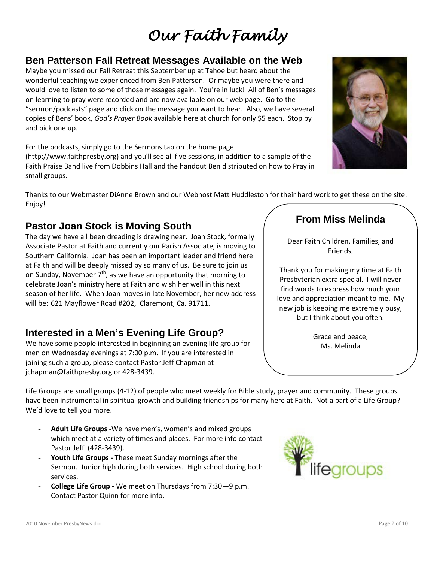# *Our Faith Family*

## **Ben Patterson Fall Retreat Messages Available on the Web**

Maybe you missed our Fall Retreat this September up at Tahoe but heard about the wonderful teaching we experienced from Ben Patterson. Or maybe you were there and would love to listen to some of those messages again. You're in luck! All of Ben's messages on learning to pray were recorded and are now available on our web page. Go to the "sermon/podcasts" page and click on the message you want to hear. Also, we have several copies of Bens' book, *God's Prayer Book* available here at church for only \$5 each. Stop by and pick one up.

For the podcasts, simply go to the Sermons tab on the home page (http://www.faithpresby.org) and you'll see all five sessions, in addition to a sample of the Faith Praise Band live from Dobbins Hall and the handout Ben distributed on how to Pray in small groups.

Thanks to our Webmaster DiAnne Brown and our Webhost Matt Huddleston for their hard work to get these on the site. Enjoy!

## **Pastor Joan Stock is Moving South**

The day we have all been dreading is drawing near. Joan Stock, formally Associate Pastor at Faith and currently our Parish Associate, is moving to Southern California. Joan has been an important leader and friend here at Faith and will be deeply missed by so many of us. Be sure to join us on Sunday, November  $7<sup>th</sup>$ , as we have an opportunity that morning to celebrate Joan's ministry here at Faith and wish her well in this next season of her life. When Joan moves in late November, her new address will be: 621 Mayflower Road #202, Claremont, Ca. 91711.

## **Interested in a Men's Evening Life Group?**

We have some people interested in beginning an evening life group for men on Wednesday evenings at 7:00 p.m. If you are interested in joining such a group, please contact Pastor Jeff Chapman at jchapman@faithpresby.org or 428-3439.

Life Groups are small groups (4-12) of people who meet weekly for Bible study, prayer and community. These groups have been instrumental in spiritual growth and building friendships for many here at Faith. Not a part of a Life Group? We'd love to tell you more.

- Adult Life Groups -We have men's, women's and mixed groups which meet at a variety of times and places. For more info contact Pastor Jeff (428-3439).
- Youth Life Groups These meet Sunday mornings after the Sermon. Junior high during both services. High school during both services.
- **College Life Group -** We meet on Thursdays from 7:30—9 p.m. Contact Pastor Quinn for more info.





# **From Miss Melinda**

Dear Faith Children, Families, and Friends,

Thank you for making my time at Faith Presbyterian extra special. I will never find words to express how much your love and appreciation meant to me. My new job is keeping me extremely busy, but I think about you often.

> Grace and peace, Ms. Melinda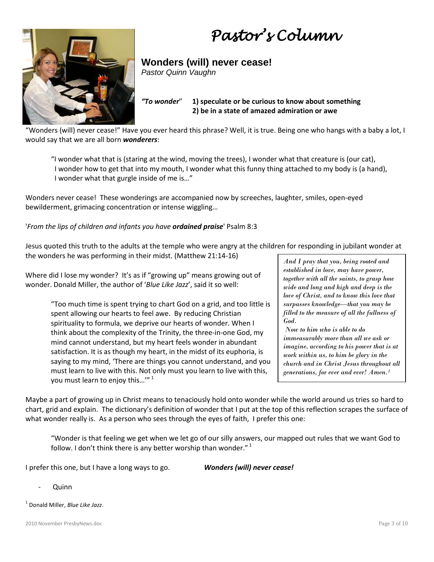*Pastor's Column* 



**Wonders (will) never cease!**

*Pastor Quinn Vaughn*

*"To wonder*" **1) speculate or be curious to know about something 2) be in a state of amazed admiration or awe**

"Wonders (will) never cease!" Have you ever heard this phrase? Well, it is true. Being one who hangs with a baby a lot, I would say that we are all born *wonderers*:

"I wonder what that is (staring at the wind, moving the trees), I wonder what that creature is (our cat), I wonder how to get that into my mouth, I wonder what this funny thing attached to my body is (a hand), I wonder what that gurgle inside of me is…"

Wonders never cease! These wonderings are accompanied now by screeches, laughter, smiles, open-eyed bewilderment, grimacing concentration or intense wiggling…

#### '*From the lips of children and infants you have ordained praise*' Psalm 8:3

Jesus quoted this truth to the adults at the temple who were angry at the children for responding in jubilant wonder at the wonders he was performing in their midst. (Matthew 21:14-16)

Where did I lose my wonder? It's as if "growing up" means growing out of wonder. Donald Miller, the author of '*Blue Like Jazz*', said it so well:

> "Too much time is spent trying to chart God on a grid, and too little is spent allowing our hearts to feel awe. By reducing Christian spirituality to formula, we deprive our hearts of wonder. When I think about the complexity of the Trinity, the three-in-one God, my mind cannot understand, but my heart feels wonder in abundant satisfaction. It is as though my heart, in the midst of its euphoria, is saying to my mind, 'There are things you cannot understand, and you must learn to live with this. Not only must you learn to live with this, you must learn to enjoy this...'"<sup>1</sup>

*And I pray that you, being rooted and established in love, may have power, together with all the saints, to grasp how wide and long and high and deep is the love of Christ, and to know this love that surpasses knowledge—that you may be filled to the measure of all the fullness of God.* 

*Now to him who is able to do immeasurably more than all we ask or imagine, according to his power that is at work within us, to him be glory in the church and in Christ Jesus throughout all generations, for ever and ever! Amen.1*

Maybe a part of growing up in Christ means to tenaciously hold onto wonder while the world around us tries so hard to chart, grid and explain. The dictionary's definition of wonder that I put at the top of this reflection scrapes the surface of what wonder really is. As a person who sees through the eyes of faith, I prefer this one:

"Wonder is that feeling we get when we let go of our silly answers, our mapped out rules that we want God to follow. I don't think there is any better worship than wonder."<sup>1</sup>

I prefer this one, but I have a long ways to go. *Wonders (will) never cease!*

- **Quinn**
- <sup>1</sup> Donald Miller, *Blue Like Jazz*.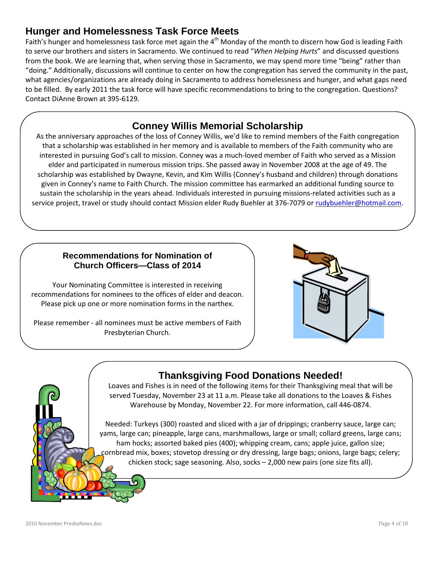## **Hunger and Homelessness Task Force Meets**

Faith's hunger and homelessness task force met again the 4<sup>th</sup> Monday of the month to discern how God is leading Faith to serve our brothers and sisters in Sacramento. We continued to read "*When Helping Hurts*" and discussed questions from the book. We are learning that, when serving those in Sacramento, we may spend more time "being" rather than "doing." Additionally, discussions will continue to center on how the congregation has served the community in the past, what agencies/organizations are already doing in Sacramento to address homelessness and hunger, and what gaps need to be filled. By early 2011 the task force will have specific recommendations to bring to the congregation. Questions? Contact DiAnne Brown at 395-6129.

## **Conney Willis Memorial Scholarship**

interested in pursuing God's call to mission. Conney was a much-loved member of Faith who served as a Mission As the anniversary approaches of the loss of Conney Willis, we'd like to remind members of the Faith congregation that a scholarship was established in her memory and is available to members of the Faith community who are elder and participated in numerous mission trips. She passed away in November 2008 at the age of 49. The scholarship was established by Dwayne, Kevin, and Kim Willis (Conney's husband and children) through donations given in Conney's name to Faith Church. The mission committee has earmarked an additional funding source to sustain the scholarship in the years ahead. Individuals interested in pursuing missions-related activities such as a service project, travel or study should contact Mission elder Rudy Buehler at 376-7079 or [rudybuehler@hotmail.com.](mailto:rudybuehler@hotmail.com)

#### **Recommendations for Nomination of Church Officers—Class of 2014**

Your Nominating Committee is interested in receiving recommendations for nominees to the offices of elder and deacon. Please pick up one or more nomination forms in the narthex.

Please remember - all nominees must be active members of Faith Presbyterian Church.



## **Thanksgiving Food Donations Needed!**

Loaves and Fishes is in need of the following items for their Thanksgiving meal that will be served Tuesday, November 23 at 11 a.m. Please take all donations to the Loaves & Fishes Warehouse by Monday, November 22. For more information, call 446-0874.

Needed: Turkeys (300) roasted and sliced with a jar of drippings; cranberry sauce, large can; yams, large can; pineapple, large cans, marshmallows, large or small; collard greens, large cans; ham hocks; assorted baked pies (400); whipping cream, cans; apple juice, gallon size; cornbread mix, boxes; stovetop dressing or dry dressing, large bags; onions, large bags; celery; chicken stock; sage seasoning. Also, socks – 2,000 new pairs (one size fits all).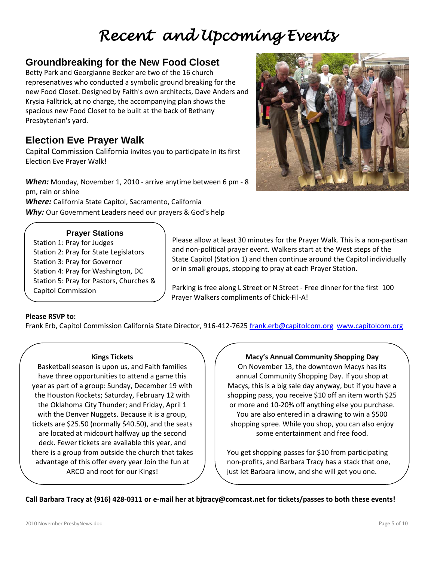# *Recent and Upcoming Events*

### **Groundbreaking for the New Food Closet**

Betty Park and Georgianne Becker are two of the 16 church represenatives who conducted a symbolic ground breaking for the new Food Closet. Designed by Faith's own architects, Dave Anders and Krysia Falltrick, at no charge, the accompanying plan shows the spacious new Food Closet to be built at the back of Bethany Presbyterian's yard.

## **Election Eve Prayer Walk**

Capital Commission California invites you to participate in its first Election Eve Prayer Walk!

*When:* Monday, November 1, 2010 - arrive anytime between 6 pm - 8 pm, rain or shine

*Where:* California State Capitol, Sacramento, California *Why:* Our Government Leaders need our prayers & God's help

#### **Prayer Stations**

Station 1: Pray for Judges Station 2: Pray for State Legislators Station 3: Pray for Governor Station 4: Pray for Washington, DC Station 5: Pray for Pastors, Churches & Capitol Commission



Please allow at least 30 minutes for the Prayer Walk. This is a non-partisan and non-political prayer event. Walkers start at the West steps of the State Capitol (Station 1) and then continue around the Capitol individually or in small groups, stopping to pray at each Prayer Station.

Parking is free along L Street or N Street - Free dinner for the first 100 Prayer Walkers compliments of Chick-Fil-A!

#### **Please RSVP to:**

Frank Erb, Capitol Commission California State Director, 916-412-7625 [frank.erb@capitolcom.org](mailto:frank.erb@capitolcom.org) [www.capitolcom.org](http://www.capitolcom.org/)

#### **Kings Tickets**

Basketball season is upon us, and Faith families have three opportunities to attend a game this year as part of a group: Sunday, December 19 with the Houston Rockets; Saturday, February 12 with the Oklahoma City Thunder; and Friday, April 1 with the Denver Nuggets. Because it is a group, tickets are \$25.50 (normally \$40.50), and the seats are located at midcourt halfway up the second deck. Fewer tickets are available this year, and there is a group from outside the church that takes advantage of this offer every year Join the fun at ARCO and root for our Kings!

#### **Macy's Annual Community Shopping Day**

On November 13, the downtown Macys has its annual Community Shopping Day. If you shop at Macys, this is a big sale day anyway, but if you have a shopping pass, you receive \$10 off an item worth \$25 or more and 10-20% off anything else you purchase. You are also entered in a drawing to win a \$500 shopping spree. While you shop, you can also enjoy some entertainment and free food.

You get shopping passes for \$10 from participating non-profits, and Barbara Tracy has a stack that one, just let Barbara know, and she will get you one.

**Call Barbara Tracy at (916) 428-0311 or e-mail her a[t bjtracy@comcast.net](mailto:bjtracy@comcast.net) for tickets/passes to both these events!**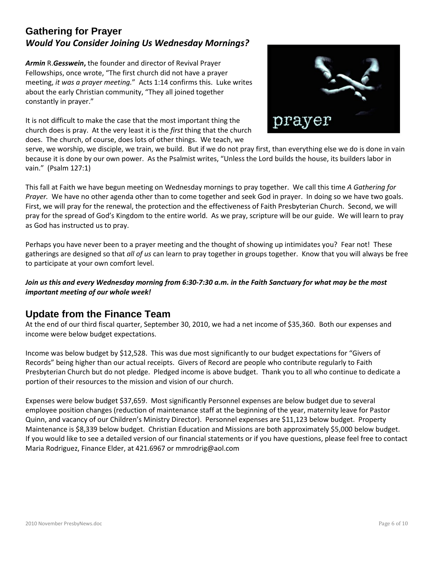### **Gathering for Prayer** *Would You Consider Joining Us Wednesday Mornings?*

*Armin* R.*Gesswein***,** the founder and director of Revival Prayer Fellowships, once wrote, "The first church did not have a prayer meeting, *it was a prayer meeting.*" Acts 1:14 confirms this. Luke writes about the early Christian community, "They all joined together constantly in prayer."

It is not difficult to make the case that the most important thing the church does is pray. At the very least it is the *first* thing that the church does. The church, of course, does lots of other things. We teach, we



serve, we worship, we disciple, we train, we build. But if we do not pray first, than everything else we do is done in vain because it is done by our own power. As the Psalmist writes, "Unless the Lord builds the house, its builders labor in vain." (Psalm 127:1)

This fall at Faith we have begun meeting on Wednesday mornings to pray together. We call this time *A Gathering for Prayer.* We have no other agenda other than to come together and seek God in prayer. In doing so we have two goals. First, we will pray for the renewal, the protection and the effectiveness of Faith Presbyterian Church. Second, we will pray for the spread of God's Kingdom to the entire world. As we pray, scripture will be our guide. We will learn to pray as God has instructed us to pray.

Perhaps you have never been to a prayer meeting and the thought of showing up intimidates you? Fear not! These gatherings are designed so that *all of us* can learn to pray together in groups together. Know that you will always be free to participate at your own comfort level.

#### *Join us this and every Wednesday morning from 6:30-7:30 a.m. in the Faith Sanctuary for what may be the most important meeting of our whole week!*

### **Update from the Finance Team**

At the end of our third fiscal quarter, September 30, 2010, we had a net income of \$35,360. Both our expenses and income were below budget expectations.

Income was below budget by \$12,528. This was due most significantly to our budget expectations for "Givers of Records" being higher than our actual receipts. Givers of Record are people who contribute regularly to Faith Presbyterian Church but do not pledge. Pledged income is above budget. Thank you to all who continue to dedicate a portion of their resources to the mission and vision of our church.

Expenses were below budget \$37,659. Most significantly Personnel expenses are below budget due to several employee position changes (reduction of maintenance staff at the beginning of the year, maternity leave for Pastor Quinn, and vacancy of our Children's Ministry Director). Personnel expenses are \$11,123 below budget. Property Maintenance is \$8,339 below budget. Christian Education and Missions are both approximately \$5,000 below budget. If you would like to see a detailed version of our financial statements or if you have questions, please feel free to contact Maria Rodriguez, Finance Elder, at 421.6967 or mmrodrig@aol.com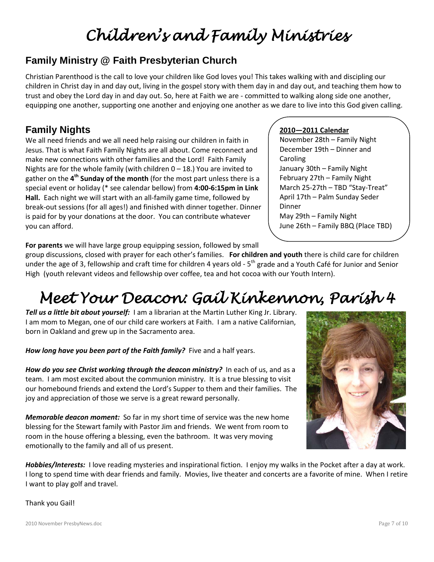# *Children's and Family Ministries*

# **Family Ministry @ Faith Presbyterian Church**

Christian Parenthood is the call to love your children like God loves you! This takes walking with and discipling our children in Christ day in and day out, living in the gospel story with them day in and day out, and teaching them how to trust and obey the Lord day in and day out. So, here at Faith we are - committed to walking along side one another, equipping one another, supporting one another and enjoying one another as we dare to live into this God given calling.

# **Family Nights**

We all need friends and we all need help raising our children in faith in Jesus. That is what Faith Family Nights are all about. Come reconnect and make new connections with other families and the Lord! Faith Family Nights are for the whole family (with children  $0 - 18$ .) You are invited to gather on the **4th Sunday of the month** (for the most part unless there is a special event or holiday (\* see calendar bellow) from **4:00-6:15pm in Link Hall.** Each night we will start with an all-family game time, followed by break-out sessions (for all ages!) and finished with dinner together. Dinner is paid for by your donations at the door. You can contribute whatever you can afford.

**For parents** we will have large group equipping session, followed by small

#### March 25-27th – TBD "Stay-Treat" April 17th – Palm Sunday Seder Dinner

Caroling

**2010—2011 Calendar**

November 28th – Family Night December 19th – Dinner and

January 30th – Family Night February 27th – Family Night

May 29th – Family Night June 26th – Family BBQ (Place TBD)

group discussions, closed with prayer for each other's families. **For children and youth** there is child care for children under the age of 3, fellowship and craft time for children 4 years old -  $5<sup>th</sup>$  grade and a Youth Café for Junior and Senior High (youth relevant videos and fellowship over coffee, tea and hot cocoa with our Youth Intern).

# *Meet Your Deacon: Gail Kinkennon, Parish 4*

*Tell us a little bit about yourself:* I am a librarian at the Martin Luther King Jr. Library. I am mom to Megan, one of our child care workers at Faith. I am a native Californian, born in Oakland and grew up in the Sacramento area.

*How long have you been part of the Faith family?* Five and a half years.

How do you see Christ working through the deacon ministry? In each of us, and as a team. I am most excited about the communion ministry. It is a true blessing to visit our homebound friends and extend the Lord's Supper to them and their families. The joy and appreciation of those we serve is a great reward personally.

*Memorable deacon moment:* So far in my short time of service was the new home blessing for the Stewart family with Pastor Jim and friends. We went from room to room in the house offering a blessing, even the bathroom. It was very moving emotionally to the family and all of us present.

*Hobbies/Interests:* I love reading mysteries and inspirational fiction. I enjoy my walks in the Pocket after a day at work. I long to spend time with dear friends and family. Movies, live theater and concerts are a favorite of mine. When I retire I want to play golf and travel.

Thank you Gail!

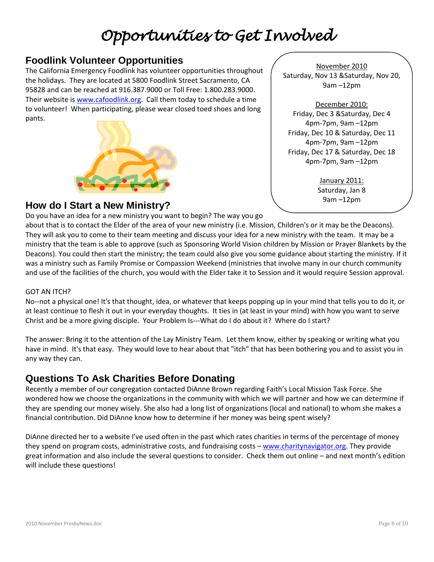# *Opportunities to Get Involved*

### **Foodlink Volunteer Opportunities**

The California Emergency Foodlink has volunteer opportunities throughout the holidays. They are located at 5800 Foodlink Street Sacramento, CA 95828 and can be reached at 916.387.9000 or Toll Free: 1.800.283.9000. Their website is [www.cafoodlink.org.](http://www.cafoodlink.org/) Call them today to schedule a time to volunteer! When participating, please wear closed toed shoes and long pants.



November 2010 Saturday, Nov 13 &Saturday, Nov 20, 9am –12pm

December 2010: Friday, Dec 3 &Saturday, Dec 4 4pm-7pm, 9am –12pm Friday, Dec 10 & Saturday, Dec 11 4pm-7pm, 9am –12pm Friday, Dec 17 & Saturday, Dec 18 4pm-7pm, 9am –12pm

> January 2011: Saturday, Jan 8 9am –12pm

### **How do I Start a New Ministry?**

Do you have an idea for a new ministry you want to begin? The way you go

about that is to contact the Elder of the area of your new ministry (i.e. Mission, Children's or it may be the Deacons). They will ask you to come to their team meeting and discuss your idea for a new ministry with the team. It may be a ministry that the team is able to approve (such as Sponsoring World Vision children by Mission or Prayer Blankets by the Deacons). You could then start the ministry; the team could also give you some guidance about starting the ministry. If it was a ministry such as Family Promise or Compassion Weekend (ministries that involve many in our church community and use of the facilities of the church, you would with the Elder take it to Session and it would require Session approval.

#### GOT AN ITCH?

No--not a physical one! It's that thought, idea, or whatever that keeps popping up in your mind that tells you to do it, or at least continue to flesh it out in your everyday thoughts. It ties in (at least in your mind) with how you want to serve Christ and be a more giving disciple. Your Problem Is---What do I do about it? Where do I start?

The answer: Bring it to the attention of the Lay Ministry Team. Let them know, either by speaking or writing what you have in mind. It's that easy. They would love to hear about that "itch" that has been bothering you and to assist you in any way they can.

### **Questions To Ask Charities Before Donating**

Recently a member of our congregation contacted DiAnne Brown regarding Faith's Local Mission Task Force. She wondered how we choose the organizations in the community with which we will partner and how we can determine if they are spending our money wisely. She also had a long list of organizations (local and national) to whom she makes a financial contribution. Did DiAnne know how to determine if her money was being spent wisely?

DiAnne directed her to a website I've used often in the past which rates charities in terms of the percentage of money they spend on program costs, administrative costs, and fundraising costs - [www.charitynavigator.org.](http://www.charitynavigator.org/) They provide great information and also include the several questions to consider. Check them out online – and next month's edition will include these questions!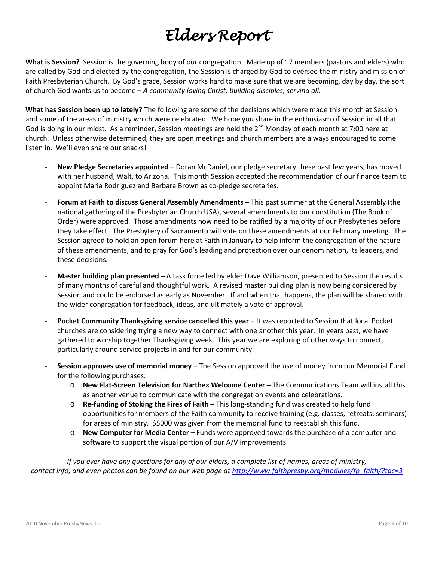# *Elders Report*

**What is Session?** Session is the governing body of our congregation. Made up of 17 members (pastors and elders) who are called by God and elected by the congregation, the Session is charged by God to oversee the ministry and mission of Faith Presbyterian Church. By God's grace, Session works hard to make sure that we are becoming, day by day, the sort of church God wants us to become – *A community loving Christ, building disciples, serving all.*

**What has Session been up to lately?** The following are some of the decisions which were made this month at Session and some of the areas of ministry which were celebrated. We hope you share in the enthusiasm of Session in all that God is doing in our midst. As a reminder, Session meetings are held the 2<sup>nd</sup> Monday of each month at 7:00 here at church. Unless otherwise determined, they are open meetings and church members are always encouraged to come listen in. We'll even share our snacks!

- **New Pledge Secretaries appointed –** Doran McDaniel, our pledge secretary these past few years, has moved with her husband, Walt, to Arizona. This month Session accepted the recommendation of our finance team to appoint Maria Rodriguez and Barbara Brown as co-pledge secretaries.
- **Forum at Faith to discuss General Assembly Amendments –** This past summer at the General Assembly (the national gathering of the Presbyterian Church USA), several amendments to our constitution (The Book of Order) were approved. Those amendments now need to be ratified by a majority of our Presbyteries before they take effect. The Presbytery of Sacramento will vote on these amendments at our February meeting. The Session agreed to hold an open forum here at Faith in January to help inform the congregation of the nature of these amendments, and to pray for God's leading and protection over our denomination, its leaders, and these decisions.
- **Master building plan presented –** A task force led by elder Dave Williamson, presented to Session the results of many months of careful and thoughtful work. A revised master building plan is now being considered by Session and could be endorsed as early as November. If and when that happens, the plan will be shared with the wider congregation for feedback, ideas, and ultimately a vote of approval.
- **Pocket Community Thanksgiving service cancelled this year –** It was reported to Session that local Pocket churches are considering trying a new way to connect with one another this year. In years past, we have gathered to worship together Thanksgiving week. This year we are exploring of other ways to connect, particularly around service projects in and for our community.
- **Session approves use of memorial money –** The Session approved the use of money from our Memorial Fund for the following purchases:
	- o **New Flat-Screen Television for Narthex Welcome Center –** The Communications Team will install this as another venue to communicate with the congregation events and celebrations.
	- o **Re-funding of Stoking the Fires of Faith –** This long-standing fund was created to help fund opportunities for members of the Faith community to receive training (e.g. classes, retreats, seminars) for areas of ministry. \$5000 was given from the memorial fund to reestablish this fund.
	- o **New Computer for Media Center –** Funds were approved towards the purchase of a computer and software to support the visual portion of our A/V improvements.

*If you ever have any questions for any of our elders, a complete list of names, areas of ministry, contact info, and even photos can be found on our web page a[t http://www.faithpresby.org/modules/fp\\_faith/?tac=3](http://www.faithpresby.org/modules/fp_faith/?tac=3)*